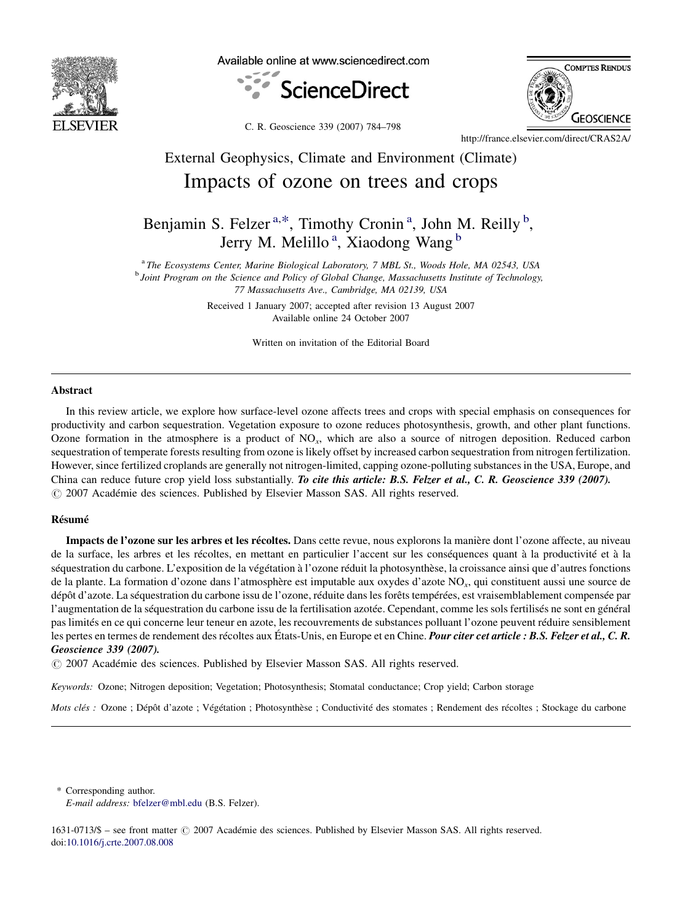

Available online at www.sciencedirect.com



**COMPTES RENDUS** GEOSCIENCE

C. R. Geoscience 339 (2007) 784–798

http://france.elsevier.com/direct/CRAS2A/

# External Geophysics, Climate and Environment (Climate) Impacts of ozone on trees and crops

# Benjamin S. Felzer<sup>a,\*</sup>, Timothy Cronin<sup>a</sup>, John M. Reilly<sup>b</sup>, Jerry M. Melillo<sup>a</sup>, Xiaodong Wang<sup>b</sup>

<sup>a</sup> The Ecosystems Center, Marine Biological Laboratory, 7 MBL St., Woods Hole, MA 02543, USA

<sup>b</sup> Joint Program on the Science and Policy of Global Change, Massachusetts Institute of Technology,

77 Massachusetts Ave., Cambridge, MA 02139, USA

Received 1 January 2007; accepted after revision 13 August 2007 Available online 24 October 2007

Written on invitation of the Editorial Board

# Abstract

In this review article, we explore how surface-level ozone affects trees and crops with special emphasis on consequences for productivity and carbon sequestration. Vegetation exposure to ozone reduces photosynthesis, growth, and other plant functions. Ozone formation in the atmosphere is a product of  $NO<sub>x</sub>$ , which are also a source of nitrogen deposition. Reduced carbon sequestration of temperate forests resulting from ozone is likely offset by increased carbon sequestration from nitrogen fertilization. However, since fertilized croplands are generally not nitrogen-limited, capping ozone-polluting substances in the USA, Europe, and China can reduce future crop yield loss substantially. To cite this article: B.S. Felzer et al., C. R. Geoscience 339 (2007).  $\odot$  2007 Académie des sciences. Published by Elsevier Masson SAS. All rights reserved.

# Résumé

Impacts de l'ozone sur les arbres et les récoltes. Dans cette revue, nous explorons la manière dont l'ozone affecte, au niveau de la surface, les arbres et les récoltes, en mettant en particulier l'accent sur les conséquences quant à la productivité et à la séquestration du carbone. L'exposition de la végétation à l'ozone réduit la photosynthèse, la croissance ainsi que d'autres fonctions de la plante. La formation d'ozone dans l'atmosphère est imputable aux oxydes d'azote NO<sub>x</sub>, qui constituent aussi une source de dépôt d'azote. La séquestration du carbone issu de l'ozone, réduite dans les forêts tempérées, est vraisemblablement compensée par l'augmentation de la séquestration du carbone issu de la fertilisation azotée. Cependant, comme les sols fertilisés ne sont en général pas limités en ce qui concerne leur teneur en azote, les recouvrements de substances polluant l'ozone peuvent réduire sensiblement les pertes en termes de rendement des récoltes aux États-Unis, en Europe et en Chine. Pour citer cet article : B.S. Felzer et al., C. R. Geoscience 339 (2007).

 $\odot$  2007 Académie des sciences. Published by Elsevier Masson SAS. All rights reserved.

Keywords: Ozone; Nitrogen deposition; Vegetation; Photosynthesis; Stomatal conductance; Crop yield; Carbon storage

Mots clés : Ozone ; Dépôt d'azote ; Végétation ; Photosynthèse ; Conductivité des stomates ; Rendement des récoltes ; Stockage du carbone

\* Corresponding author. E-mail address: [bfelzer@mbl.edu](mailto:bfelzer@mbl.edu) (B.S. Felzer).

1631-0713/\$ – see front matter  $\odot$  2007 Académie des sciences. Published by Elsevier Masson SAS. All rights reserved. doi:[10.1016/j.crte.2007.08.008](http://dx.doi.org/10.1016/j.crte.2007.08.008)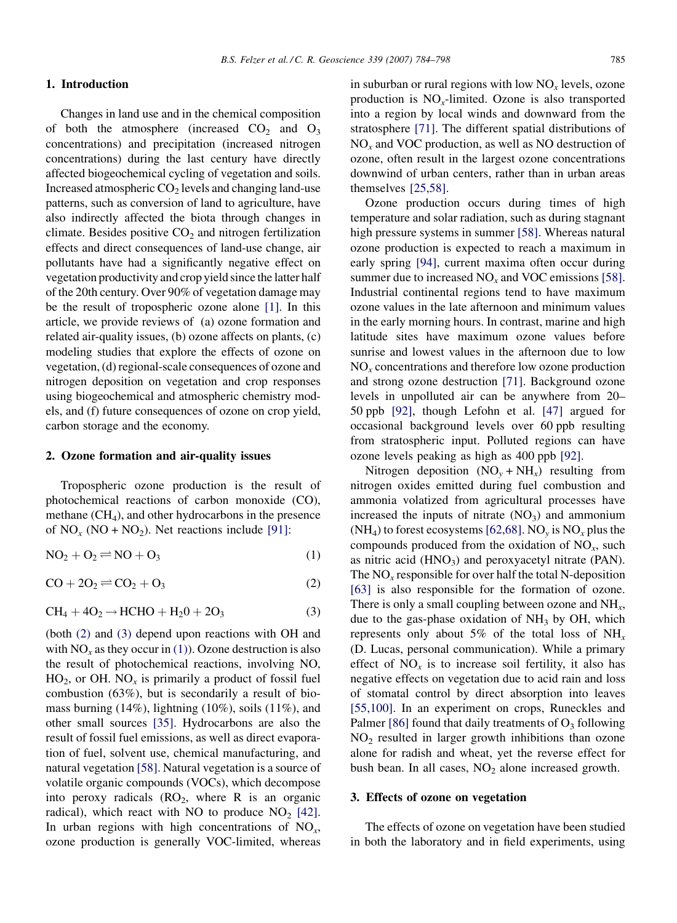Changes in land use and in the chemical composition of both the atmosphere (increased  $CO<sub>2</sub>$  and  $O<sub>3</sub>$ concentrations) and precipitation (increased nitrogen concentrations) during the last century have directly affected biogeochemical cycling of vegetation and soils. Increased atmospheric  $CO<sub>2</sub>$  levels and changing land-use patterns, such as conversion of land to agriculture, have also indirectly affected the biota through changes in climate. Besides positive  $CO<sub>2</sub>$  and nitrogen fertilization effects and direct consequences of land-use change, air pollutants have had a significantly negative effect on vegetation productivity and crop yield since the latter half of the 20th century. Over 90% of vegetation damage may be the result of tropospheric ozone alone [\[1\]](#page-11-0). In this article, we provide reviews of (a) ozone formation and related air-quality issues, (b) ozone affects on plants, (c) modeling studies that explore the effects of ozone on vegetation, (d) regional-scale consequences of ozone and nitrogen deposition on vegetation and crop responses using biogeochemical and atmospheric chemistry models, and (f) future consequences of ozone on crop yield, carbon storage and the economy.

# 2. Ozone formation and air-quality issues

Tropospheric ozone production is the result of photochemical reactions of carbon monoxide (CO), methane  $(CH<sub>4</sub>)$ , and other hydrocarbons in the presence of  $NO_x (NO + NO_2)$ . Net reactions include [\[91\]:](#page-13-0)

$$
NO2 + O2 \rightleftharpoons NO + O3
$$
 (1)

$$
CO + 2O2 \rightleftharpoons CO2 + O3
$$
 (2)

$$
CH4 + 4O2 \rightarrow HCHO + H20 + 2O3
$$
 (3)

(both (2) and (3) depend upon reactions with OH and with  $NO<sub>x</sub>$  as they occur in (1)). Ozone destruction is also the result of photochemical reactions, involving NO,  $HO<sub>2</sub>$ , or OH. NO<sub>x</sub> is primarily a product of fossil fuel combustion (63%), but is secondarily a result of biomass burning (14%), lightning (10%), soils (11%), and other small sources [\[35\].](#page-12-0) Hydrocarbons are also the result of fossil fuel emissions, as well as direct evaporation of fuel, solvent use, chemical manufacturing, and natural vegetation [\[58\].](#page-12-0) Natural vegetation is a source of volatile organic compounds (VOCs), which decompose into peroxy radicals  $(RO<sub>2</sub>, where R is an organic)$ radical), which react with NO to produce  $NO<sub>2</sub>$  [\[42\].](#page-12-0) In urban regions with high concentrations of  $NO<sub>x</sub>$ , ozone production is generally VOC-limited, whereas

in suburban or rural regions with low  $NO<sub>x</sub>$  levels, ozone production is  $NO<sub>x</sub>$ -limited. Ozone is also transported into a region by local winds and downward from the stratosphere [\[71\]](#page-13-0). The different spatial distributions of  $NO<sub>x</sub>$  and VOC production, as well as NO destruction of ozone, often result in the largest ozone concentrations downwind of urban centers, rather than in urban areas themselves [\[25,58\].](#page-11-0)

Ozone production occurs during times of high temperature and solar radiation, such as during stagnant high pressure systems in summer [\[58\]](#page-12-0). Whereas natural ozone production is expected to reach a maximum in early spring [\[94\]](#page-14-0), current maxima often occur during summer due to increased  $NO<sub>x</sub>$  and VOC emissions [\[58\].](#page-12-0) Industrial continental regions tend to have maximum ozone values in the late afternoon and minimum values in the early morning hours. In contrast, marine and high latitude sites have maximum ozone values before sunrise and lowest values in the afternoon due to low  $NO<sub>x</sub>$  concentrations and therefore low ozone production and strong ozone destruction [\[71\].](#page-13-0) Background ozone levels in unpolluted air can be anywhere from 20– 50 ppb [\[92\],](#page-13-0) though Lefohn et al. [\[47\]](#page-12-0) argued for occasional background levels over 60 ppb resulting from stratospheric input. Polluted regions can have ozone levels peaking as high as 400 ppb [\[92\]](#page-13-0).

Nitrogen deposition  $(NO_y + NH_x)$  resulting from nitrogen oxides emitted during fuel combustion and ammonia volatized from agricultural processes have increased the inputs of nitrate  $(NO_3)$  and ammonium (NH<sub>4</sub>) to forest ecosystems [\[62,68\].](#page-13-0) NO<sub>y</sub> is NO<sub>x</sub> plus the compounds produced from the oxidation of  $NO<sub>x</sub>$ , such as nitric acid  $(HNO<sub>3</sub>)$  and peroxyacetyl nitrate (PAN). The  $NO<sub>x</sub>$  responsible for over half the total N-deposition [\[63\]](#page-13-0) is also responsible for the formation of ozone. There is only a small coupling between ozone and  $NH<sub>x</sub>$ , due to the gas-phase oxidation of  $NH<sub>3</sub>$  by OH, which represents only about 5% of the total loss of  $NH<sub>x</sub>$ (D. Lucas, personal communication). While a primary effect of  $NO<sub>x</sub>$  is to increase soil fertility, it also has negative effects on vegetation due to acid rain and loss of stomatal control by direct absorption into leaves [\[55,100\]](#page-12-0). In an experiment on crops, Runeckles and Palmer [\[86\]](#page-13-0) found that daily treatments of  $O_3$  following  $NO<sub>2</sub>$  resulted in larger growth inhibitions than ozone alone for radish and wheat, yet the reverse effect for bush bean. In all cases,  $NO<sub>2</sub>$  alone increased growth.

#### 3. Effects of ozone on vegetation

The effects of ozone on vegetation have been studied in both the laboratory and in field experiments, using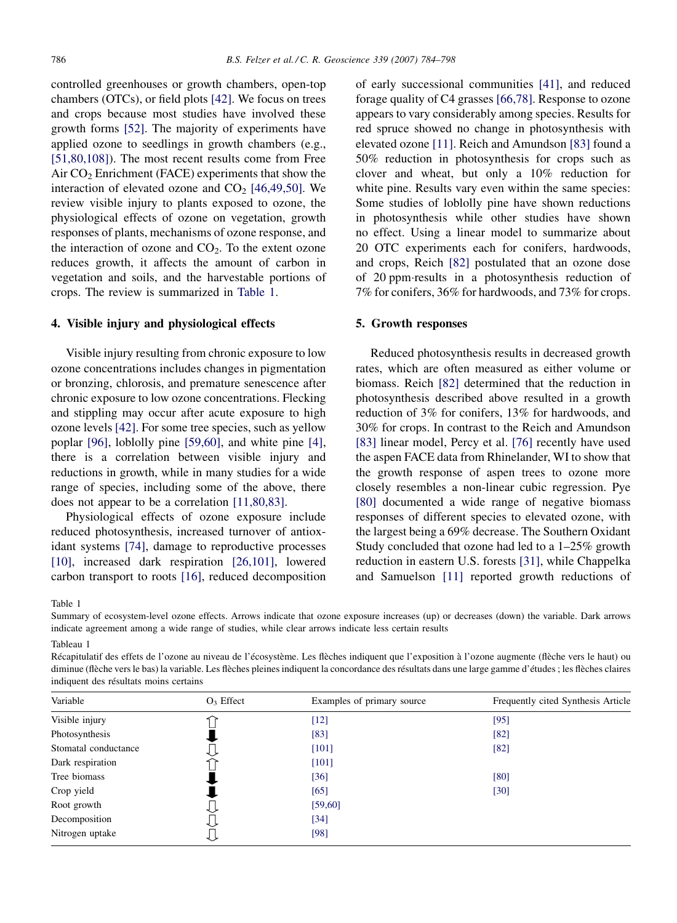controlled greenhouses or growth chambers, open-top chambers (OTCs), or field plots [\[42\]](#page-12-0). We focus on trees and crops because most studies have involved these growth forms [\[52\]](#page-12-0). The majority of experiments have applied ozone to seedlings in growth chambers (e.g., [\[51,80,108\]\)](#page-12-0). The most recent results come from Free Air  $CO<sub>2</sub>$  Enrichment (FACE) experiments that show the interaction of elevated ozone and  $CO<sub>2</sub>$  [\[46,49,50\]](#page-12-0). We review visible injury to plants exposed to ozone, the physiological effects of ozone on vegetation, growth responses of plants, mechanisms of ozone response, and the interaction of ozone and  $CO<sub>2</sub>$ . To the extent ozone reduces growth, it affects the amount of carbon in vegetation and soils, and the harvestable portions of crops. The review is summarized in Table 1.

# 4. Visible injury and physiological effects

Visible injury resulting from chronic exposure to low ozone concentrations includes changes in pigmentation or bronzing, chlorosis, and premature senescence after chronic exposure to low ozone concentrations. Flecking and stippling may occur after acute exposure to high ozone levels [\[42\]](#page-12-0). For some tree species, such as yellow poplar [\[96\],](#page-14-0) loblolly pine [\[59,60\],](#page-12-0) and white pine [\[4\],](#page-11-0) there is a correlation between visible injury and reductions in growth, while in many studies for a wide range of species, including some of the above, there does not appear to be a correlation [\[11,80,83\].](#page-11-0)

Physiological effects of ozone exposure include reduced photosynthesis, increased turnover of antioxidant systems [\[74\]](#page-13-0), damage to reproductive processes [\[10\],](#page-11-0) increased dark respiration [\[26,101\],](#page-11-0) lowered carbon transport to roots [\[16\]](#page-11-0), reduced decomposition

of early successional communities [\[41\]](#page-12-0), and reduced forage quality of C4 grasses [\[66,78\]](#page-13-0). Response to ozone appears to vary considerably among species. Results for red spruce showed no change in photosynthesis with elevated ozone [\[11\].](#page-11-0) Reich and Amundson [\[83\]](#page-13-0) found a 50% reduction in photosynthesis for crops such as clover and wheat, but only a 10% reduction for white pine. Results vary even within the same species: Some studies of loblolly pine have shown reductions in photosynthesis while other studies have shown no effect. Using a linear model to summarize about 20 OTC experiments each for conifers, hardwoods, and crops, Reich [\[82\]](#page-13-0) postulated that an ozone dose of 20 ppm-results in a photosynthesis reduction of 7% for conifers, 36% for hardwoods, and 73% for crops.

# 5. Growth responses

Reduced photosynthesis results in decreased growth rates, which are often measured as either volume or biomass. Reich [\[82\]](#page-13-0) determined that the reduction in photosynthesis described above resulted in a growth reduction of 3% for conifers, 13% for hardwoods, and 30% for crops. In contrast to the Reich and Amundson [\[83\]](#page-13-0) linear model, Percy et al. [\[76\]](#page-13-0) recently have used the aspen FACE data from Rhinelander, WI to show that the growth response of aspen trees to ozone more closely resembles a non-linear cubic regression. Pye [\[80\]](#page-13-0) documented a wide range of negative biomass responses of different species to elevated ozone, with the largest being a 69% decrease. The Southern Oxidant Study concluded that ozone had led to a 1–25% growth reduction in eastern U.S. forests [\[31\]](#page-11-0), while Chappelka and Samuelson [\[11\]](#page-11-0) reported growth reductions of

Table 1

Tableau 1

Récapitulatif des effets de l'ozone au niveau de l'écosystème. Les flèches indiquent que l'exposition à l'ozone augmente (flèche vers le haut) ou diminue (flèche vers le bas) la variable. Les flèches pleines indiquent la concordance des résultats dans une large gamme d'études ; les flèches claires indiquent des résultats moins certains

| Variable             | $O3$ Effect | Examples of primary source | Frequently cited Synthesis Article |
|----------------------|-------------|----------------------------|------------------------------------|
| Visible injury       |             | $[12]$                     | [95]                               |
| Photosynthesis       |             | $[83]$                     | $[82]$                             |
| Stomatal conductance |             | [101]                      | $[82]$                             |
| Dark respiration     |             | [101]                      |                                    |
| Tree biomass         |             | $[36]$                     | [80]                               |
| Crop yield           |             | [65]                       | $[30]$                             |
| Root growth          |             | [59,60]                    |                                    |
| Decomposition        |             | $[34]$                     |                                    |
| Nitrogen uptake      |             | $[98]$                     |                                    |

Summary of ecosystem-level ozone effects. Arrows indicate that ozone exposure increases (up) or decreases (down) the variable. Dark arrows indicate agreement among a wide range of studies, while clear arrows indicate less certain results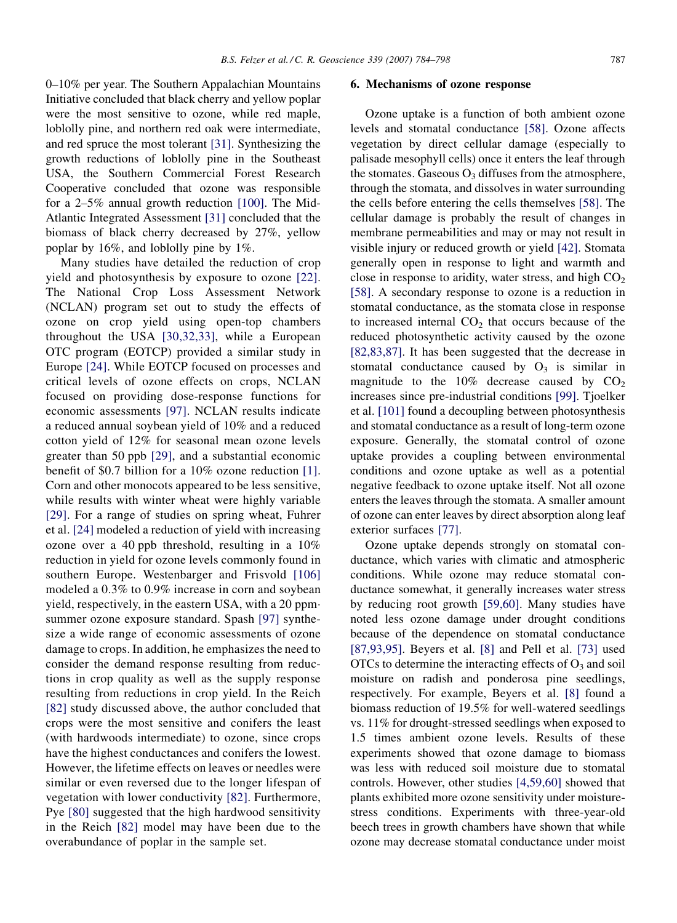0–10% per year. The Southern Appalachian Mountains Initiative concluded that black cherry and yellow poplar were the most sensitive to ozone, while red maple, loblolly pine, and northern red oak were intermediate, and red spruce the most tolerant [\[31\]](#page-11-0). Synthesizing the growth reductions of loblolly pine in the Southeast USA, the Southern Commercial Forest Research Cooperative concluded that ozone was responsible for a 2–5% annual growth reduction [\[100\].](#page-14-0) The Mid-Atlantic Integrated Assessment [\[31\]](#page-11-0) concluded that the biomass of black cherry decreased by 27%, yellow poplar by 16%, and loblolly pine by 1%.

Many studies have detailed the reduction of crop yield and photosynthesis by exposure to ozone [\[22\].](#page-11-0) The National Crop Loss Assessment Network (NCLAN) program set out to study the effects of ozone on crop yield using open-top chambers throughout the USA [\[30,32,33\]](#page-11-0), while a European OTC program (EOTCP) provided a similar study in Europe [\[24\]](#page-11-0). While EOTCP focused on processes and critical levels of ozone effects on crops, NCLAN focused on providing dose-response functions for economic assessments [\[97\]](#page-14-0). NCLAN results indicate a reduced annual soybean yield of 10% and a reduced cotton yield of 12% for seasonal mean ozone levels greater than 50 ppb [\[29\],](#page-11-0) and a substantial economic benefit of \$0.7 billion for a 10% ozone reduction [\[1\].](#page-11-0) Corn and other monocots appeared to be less sensitive, while results with winter wheat were highly variable [\[29\].](#page-11-0) For a range of studies on spring wheat, Fuhrer et al. [\[24\]](#page-11-0) modeled a reduction of yield with increasing ozone over a 40 ppb threshold, resulting in a 10% reduction in yield for ozone levels commonly found in southern Europe. Westenbarger and Frisvold [\[106\]](#page-14-0) modeled a 0.3% to 0.9% increase in corn and soybean yield, respectively, in the eastern USA, with a 20 ppm summer ozone exposure standard. Spash [\[97\]](#page-14-0) synthesize a wide range of economic assessments of ozone damage to crops. In addition, he emphasizes the need to consider the demand response resulting from reductions in crop quality as well as the supply response resulting from reductions in crop yield. In the Reich [\[82\]](#page-13-0) study discussed above, the author concluded that crops were the most sensitive and conifers the least (with hardwoods intermediate) to ozone, since crops have the highest conductances and conifers the lowest. However, the lifetime effects on leaves or needles were similar or even reversed due to the longer lifespan of vegetation with lower conductivity [\[82\]](#page-13-0). Furthermore, Pye [\[80\]](#page-13-0) suggested that the high hardwood sensitivity in the Reich [\[82\]](#page-13-0) model may have been due to the overabundance of poplar in the sample set.

#### 6. Mechanisms of ozone response

Ozone uptake is a function of both ambient ozone levels and stomatal conductance [\[58\].](#page-12-0) Ozone affects vegetation by direct cellular damage (especially to palisade mesophyll cells) once it enters the leaf through the stomates. Gaseous  $O_3$  diffuses from the atmosphere, through the stomata, and dissolves in water surrounding the cells before entering the cells themselves [\[58\]](#page-12-0). The cellular damage is probably the result of changes in membrane permeabilities and may or may not result in visible injury or reduced growth or yield [\[42\].](#page-12-0) Stomata generally open in response to light and warmth and close in response to aridity, water stress, and high  $CO<sub>2</sub>$ [\[58\].](#page-12-0) A secondary response to ozone is a reduction in stomatal conductance, as the stomata close in response to increased internal  $CO<sub>2</sub>$  that occurs because of the reduced photosynthetic activity caused by the ozone [\[82,83,87\].](#page-13-0) It has been suggested that the decrease in stomatal conductance caused by  $O_3$  is similar in magnitude to the  $10\%$  decrease caused by  $CO<sub>2</sub>$ increases since pre-industrial conditions [\[99\].](#page-14-0) Tjoelker et al. [\[101\]](#page-14-0) found a decoupling between photosynthesis and stomatal conductance as a result of long-term ozone exposure. Generally, the stomatal control of ozone uptake provides a coupling between environmental conditions and ozone uptake as well as a potential negative feedback to ozone uptake itself. Not all ozone enters the leaves through the stomata. A smaller amount of ozone can enter leaves by direct absorption along leaf exterior surfaces [\[77\]](#page-13-0).

Ozone uptake depends strongly on stomatal conductance, which varies with climatic and atmospheric conditions. While ozone may reduce stomatal conductance somewhat, it generally increases water stress by reducing root growth [\[59,60\].](#page-12-0) Many studies have noted less ozone damage under drought conditions because of the dependence on stomatal conductance [\[87,93,95\].](#page-13-0) Beyers et al. [\[8\]](#page-11-0) and Pell et al. [\[73\]](#page-13-0) used OTCs to determine the interacting effects of  $O_3$  and soil moisture on radish and ponderosa pine seedlings, respectively. For example, Beyers et al. [\[8\]](#page-11-0) found a biomass reduction of 19.5% for well-watered seedlings vs. 11% for drought-stressed seedlings when exposed to 1.5 times ambient ozone levels. Results of these experiments showed that ozone damage to biomass was less with reduced soil moisture due to stomatal controls. However, other studies [\[4,59,60\]](#page-11-0) showed that plants exhibited more ozone sensitivity under moisturestress conditions. Experiments with three-year-old beech trees in growth chambers have shown that while ozone may decrease stomatal conductance under moist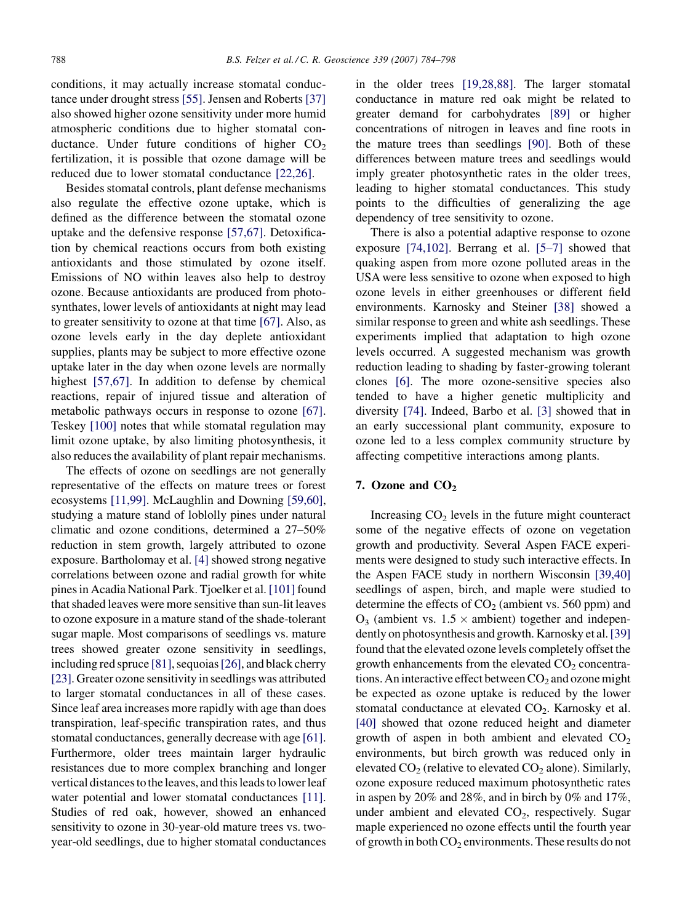conditions, it may actually increase stomatal conductance under drought stress [\[55\].](#page-12-0) Jensen and Roberts [\[37\]](#page-12-0) also showed higher ozone sensitivity under more humid atmospheric conditions due to higher stomatal conductance. Under future conditions of higher  $CO<sub>2</sub>$ fertilization, it is possible that ozone damage will be reduced due to lower stomatal conductance [\[22,26\].](#page-11-0)

Besides stomatal controls, plant defense mechanisms also regulate the effective ozone uptake, which is defined as the difference between the stomatal ozone uptake and the defensive response [\[57,67\].](#page-12-0) Detoxification by chemical reactions occurs from both existing antioxidants and those stimulated by ozone itself. Emissions of NO within leaves also help to destroy ozone. Because antioxidants are produced from photosynthates, lower levels of antioxidants at night may lead to greater sensitivity to ozone at that time [\[67\]](#page-13-0). Also, as ozone levels early in the day deplete antioxidant supplies, plants may be subject to more effective ozone uptake later in the day when ozone levels are normally highest [\[57,67\]](#page-12-0). In addition to defense by chemical reactions, repair of injured tissue and alteration of metabolic pathways occurs in response to ozone [\[67\].](#page-13-0) Teskey [\[100\]](#page-14-0) notes that while stomatal regulation may limit ozone uptake, by also limiting photosynthesis, it also reduces the availability of plant repair mechanisms.

The effects of ozone on seedlings are not generally representative of the effects on mature trees or forest ecosystems [\[11,99\].](#page-11-0) McLaughlin and Downing [\[59,60\],](#page-12-0) studying a mature stand of loblolly pines under natural climatic and ozone conditions, determined a 27–50% reduction in stem growth, largely attributed to ozone exposure. Bartholomay et al. [\[4\]](#page-11-0) showed strong negative correlations between ozone and radial growth for white pines in Acadia National Park. Tjoelker et al. [\[101\]](#page-14-0) found that shaded leaves were more sensitive than sun-lit leaves to ozone exposure in a mature stand of the shade-tolerant sugar maple. Most comparisons of seedlings vs. mature trees showed greater ozone sensitivity in seedlings, including red spruce [\[81\]](#page-13-0), sequoias[\[26\]](#page-11-0), and black cherry [\[23\].](#page-11-0) Greater ozone sensitivity in seedlings was attributed to larger stomatal conductances in all of these cases. Since leaf area increases more rapidly with age than does transpiration, leaf-specific transpiration rates, and thus stomatal conductances, generally decrease with age [\[61\].](#page-13-0) Furthermore, older trees maintain larger hydraulic resistances due to more complex branching and longer vertical distances to the leaves, and this leads to lower leaf water potential and lower stomatal conductances [\[11\].](#page-11-0) Studies of red oak, however, showed an enhanced sensitivity to ozone in 30-year-old mature trees vs. twoyear-old seedlings, due to higher stomatal conductances

in the older trees [\[19,28,88\].](#page-11-0) The larger stomatal conductance in mature red oak might be related to greater demand for carbohydrates [\[89\]](#page-13-0) or higher concentrations of nitrogen in leaves and fine roots in the mature trees than seedlings [\[90\]](#page-13-0). Both of these differences between mature trees and seedlings would imply greater photosynthetic rates in the older trees, leading to higher stomatal conductances. This study points to the difficulties of generalizing the age dependency of tree sensitivity to ozone.

There is also a potential adaptive response to ozone exposure [\[74,102\].](#page-13-0) Berrang et al. [\[5](#page-11-0)–7] showed that quaking aspen from more ozone polluted areas in the USA were less sensitive to ozone when exposed to high ozone levels in either greenhouses or different field environments. Karnosky and Steiner [\[38\]](#page-12-0) showed a similar response to green and white ash seedlings. These experiments implied that adaptation to high ozone levels occurred. A suggested mechanism was growth reduction leading to shading by faster-growing tolerant clones [\[6\].](#page-11-0) The more ozone-sensitive species also tended to have a higher genetic multiplicity and diversity [\[74\]](#page-13-0). Indeed, Barbo et al. [\[3\]](#page-11-0) showed that in an early successional plant community, exposure to ozone led to a less complex community structure by affecting competitive interactions among plants.

# 7. Ozone and  $CO<sub>2</sub>$

Increasing  $CO<sub>2</sub>$  levels in the future might counteract some of the negative effects of ozone on vegetation growth and productivity. Several Aspen FACE experiments were designed to study such interactive effects. In the Aspen FACE study in northern Wisconsin [\[39,40\]](#page-12-0) seedlings of aspen, birch, and maple were studied to determine the effects of  $CO<sub>2</sub>$  (ambient vs. 560 ppm) and  $O_3$  (ambient vs. 1.5  $\times$  ambient) together and indepen-dently on photosynthesis and growth. Karnosky et al. [\[39\]](#page-12-0) found that the elevated ozone levels completely offset the growth enhancements from the elevated  $CO<sub>2</sub>$  concentrations. An interactive effect between  $CO<sub>2</sub>$  and ozone might be expected as ozone uptake is reduced by the lower stomatal conductance at elevated CO<sub>2</sub>. Karnosky et al. [\[40\]](#page-12-0) showed that ozone reduced height and diameter growth of aspen in both ambient and elevated  $CO<sub>2</sub>$ environments, but birch growth was reduced only in elevated  $CO<sub>2</sub>$  (relative to elevated  $CO<sub>2</sub>$  alone). Similarly, ozone exposure reduced maximum photosynthetic rates in aspen by 20% and 28%, and in birch by 0% and 17%, under ambient and elevated  $CO<sub>2</sub>$ , respectively. Sugar maple experienced no ozone effects until the fourth year of growth in both  $CO<sub>2</sub>$  environments. These results do not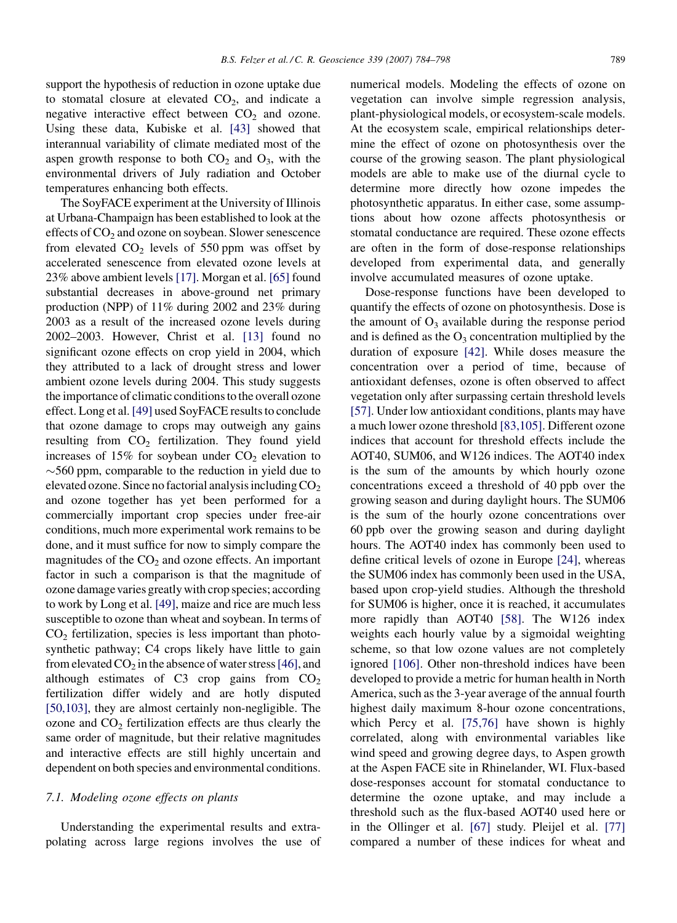support the hypothesis of reduction in ozone uptake due to stomatal closure at elevated  $CO<sub>2</sub>$ , and indicate a negative interactive effect between  $CO<sub>2</sub>$  and ozone. Using these data, Kubiske et al. [\[43\]](#page-12-0) showed that interannual variability of climate mediated most of the aspen growth response to both  $CO<sub>2</sub>$  and  $O<sub>3</sub>$ , with the environmental drivers of July radiation and October temperatures enhancing both effects.

The SoyFACE experiment at the University of Illinois at Urbana-Champaign has been established to look at the effects of  $CO<sub>2</sub>$  and ozone on soybean. Slower senescence from elevated  $CO<sub>2</sub>$  levels of 550 ppm was offset by accelerated senescence from elevated ozone levels at 23% above ambient levels [\[17\].](#page-11-0) Morgan et al. [\[65\]](#page-13-0) found substantial decreases in above-ground net primary production (NPP) of 11% during 2002 and 23% during 2003 as a result of the increased ozone levels during 2002–2003. However, Christ et al. [\[13\]](#page-11-0) found no significant ozone effects on crop yield in 2004, which they attributed to a lack of drought stress and lower ambient ozone levels during 2004. This study suggests the importance of climatic conditions to the overall ozone effect. Long et al. [\[49\]](#page-12-0) used SoyFACE results to conclude that ozone damage to crops may outweigh any gains resulting from  $CO<sub>2</sub>$  fertilization. They found yield increases of 15% for soybean under  $CO<sub>2</sub>$  elevation to  $\sim$  560 ppm, comparable to the reduction in yield due to elevated ozone. Since no factorial analysis including  $CO<sub>2</sub>$ and ozone together has yet been performed for a commercially important crop species under free-air conditions, much more experimental work remains to be done, and it must suffice for now to simply compare the magnitudes of the  $CO<sub>2</sub>$  and ozone effects. An important factor in such a comparison is that the magnitude of ozone damage varies greatly with crop species; according to work by Long et al. [\[49\]](#page-12-0), maize and rice are much less susceptible to ozone than wheat and soybean. In terms of  $CO<sub>2</sub>$  fertilization, species is less important than photosynthetic pathway; C4 crops likely have little to gain from elevated  $CO<sub>2</sub>$  in the absence of water stress [\[46\],](#page-12-0) and although estimates of C3 crop gains from  $CO<sub>2</sub>$ fertilization differ widely and are hotly disputed [\[50,103\]](#page-12-0), they are almost certainly non-negligible. The ozone and  $CO<sub>2</sub>$  fertilization effects are thus clearly the same order of magnitude, but their relative magnitudes and interactive effects are still highly uncertain and dependent on both species and environmental conditions.

#### 7.1. Modeling ozone effects on plants

Understanding the experimental results and extrapolating across large regions involves the use of

numerical models. Modeling the effects of ozone on vegetation can involve simple regression analysis, plant-physiological models, or ecosystem-scale models. At the ecosystem scale, empirical relationships determine the effect of ozone on photosynthesis over the course of the growing season. The plant physiological models are able to make use of the diurnal cycle to determine more directly how ozone impedes the photosynthetic apparatus. In either case, some assumptions about how ozone affects photosynthesis or stomatal conductance are required. These ozone effects are often in the form of dose-response relationships developed from experimental data, and generally involve accumulated measures of ozone uptake.

Dose-response functions have been developed to quantify the effects of ozone on photosynthesis. Dose is the amount of  $O_3$  available during the response period and is defined as the  $O_3$  concentration multiplied by the duration of exposure [\[42\].](#page-12-0) While doses measure the concentration over a period of time, because of antioxidant defenses, ozone is often observed to affect vegetation only after surpassing certain threshold levels [\[57\].](#page-12-0) Under low antioxidant conditions, plants may have a much lower ozone threshold [\[83,105\]](#page-13-0). Different ozone indices that account for threshold effects include the AOT40, SUM06, and W126 indices. The AOT40 index is the sum of the amounts by which hourly ozone concentrations exceed a threshold of 40 ppb over the growing season and during daylight hours. The SUM06 is the sum of the hourly ozone concentrations over 60 ppb over the growing season and during daylight hours. The AOT40 index has commonly been used to define critical levels of ozone in Europe [\[24\],](#page-11-0) whereas the SUM06 index has commonly been used in the USA, based upon crop-yield studies. Although the threshold for SUM06 is higher, once it is reached, it accumulates more rapidly than AOT40 [\[58\].](#page-12-0) The W126 index weights each hourly value by a sigmoidal weighting scheme, so that low ozone values are not completely ignored [\[106\].](#page-14-0) Other non-threshold indices have been developed to provide a metric for human health in North America, such as the 3-year average of the annual fourth highest daily maximum 8-hour ozone concentrations, which Percy et al. [\[75,76\]](#page-13-0) have shown is highly correlated, along with environmental variables like wind speed and growing degree days, to Aspen growth at the Aspen FACE site in Rhinelander, WI. Flux-based dose-responses account for stomatal conductance to determine the ozone uptake, and may include a threshold such as the flux-based AOT40 used here or in the Ollinger et al. [\[67\]](#page-13-0) study. Pleijel et al. [\[77\]](#page-13-0) compared a number of these indices for wheat and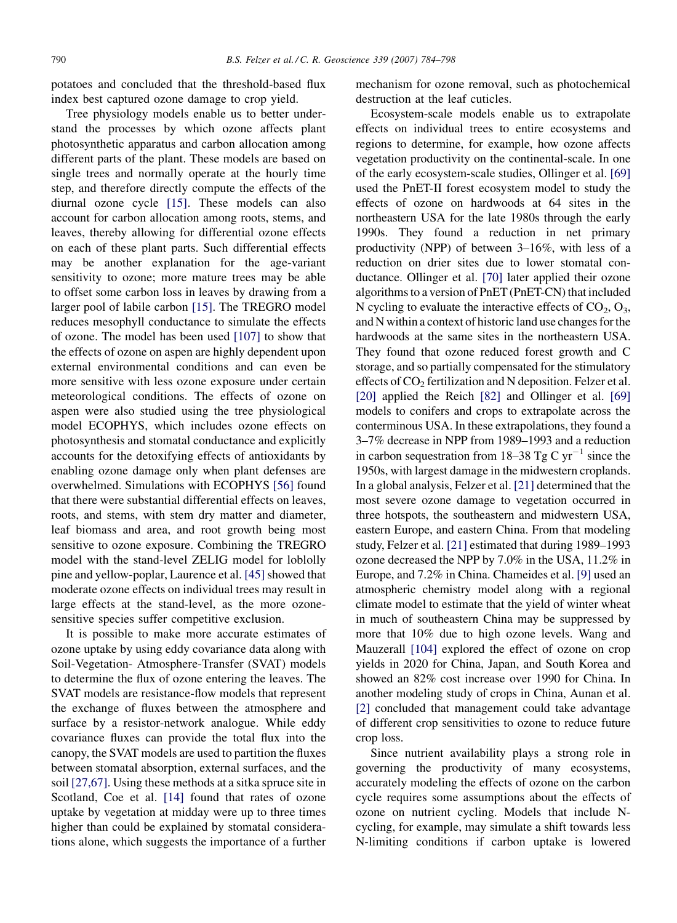potatoes and concluded that the threshold-based flux index best captured ozone damage to crop yield.

Tree physiology models enable us to better understand the processes by which ozone affects plant photosynthetic apparatus and carbon allocation among different parts of the plant. These models are based on single trees and normally operate at the hourly time step, and therefore directly compute the effects of the diurnal ozone cycle [\[15\].](#page-11-0) These models can also account for carbon allocation among roots, stems, and leaves, thereby allowing for differential ozone effects on each of these plant parts. Such differential effects may be another explanation for the age-variant sensitivity to ozone; more mature trees may be able to offset some carbon loss in leaves by drawing from a larger pool of labile carbon [\[15\].](#page-11-0) The TREGRO model reduces mesophyll conductance to simulate the effects of ozone. The model has been used [\[107\]](#page-14-0) to show that the effects of ozone on aspen are highly dependent upon external environmental conditions and can even be more sensitive with less ozone exposure under certain meteorological conditions. The effects of ozone on aspen were also studied using the tree physiological model ECOPHYS, which includes ozone effects on photosynthesis and stomatal conductance and explicitly accounts for the detoxifying effects of antioxidants by enabling ozone damage only when plant defenses are overwhelmed. Simulations with ECOPHYS [\[56\]](#page-12-0) found that there were substantial differential effects on leaves, roots, and stems, with stem dry matter and diameter, leaf biomass and area, and root growth being most sensitive to ozone exposure. Combining the TREGRO model with the stand-level ZELIG model for loblolly pine and yellow-poplar, Laurence et al. [\[45\]](#page-12-0) showed that moderate ozone effects on individual trees may result in large effects at the stand-level, as the more ozonesensitive species suffer competitive exclusion.

It is possible to make more accurate estimates of ozone uptake by using eddy covariance data along with Soil-Vegetation- Atmosphere-Transfer (SVAT) models to determine the flux of ozone entering the leaves. The SVAT models are resistance-flow models that represent the exchange of fluxes between the atmosphere and surface by a resistor-network analogue. While eddy covariance fluxes can provide the total flux into the canopy, the SVAT models are used to partition the fluxes between stomatal absorption, external surfaces, and the soil [\[27,67\].](#page-11-0) Using these methods at a sitka spruce site in Scotland, Coe et al. [\[14\]](#page-11-0) found that rates of ozone uptake by vegetation at midday were up to three times higher than could be explained by stomatal considerations alone, which suggests the importance of a further mechanism for ozone removal, such as photochemical destruction at the leaf cuticles.

Ecosystem-scale models enable us to extrapolate effects on individual trees to entire ecosystems and regions to determine, for example, how ozone affects vegetation productivity on the continental-scale. In one of the early ecosystem-scale studies, Ollinger et al. [\[69\]](#page-13-0) used the PnET-II forest ecosystem model to study the effects of ozone on hardwoods at 64 sites in the northeastern USA for the late 1980s through the early 1990s. They found a reduction in net primary productivity (NPP) of between 3–16%, with less of a reduction on drier sites due to lower stomatal conductance. Ollinger et al. [\[70\]](#page-13-0) later applied their ozone algorithms to a version of PnET (PnET-CN) that included N cycling to evaluate the interactive effects of  $CO<sub>2</sub>, O<sub>3</sub>$ , and N within a context of historic land use changes for the hardwoods at the same sites in the northeastern USA. They found that ozone reduced forest growth and C storage, and so partially compensated for the stimulatory effects of  $CO<sub>2</sub>$  fertilization and N deposition. Felzer et al. [\[20\]](#page-11-0) applied the Reich [\[82\]](#page-13-0) and Ollinger et al. [\[69\]](#page-13-0) models to conifers and crops to extrapolate across the conterminous USA. In these extrapolations, they found a 3–7% decrease in NPP from 1989–1993 and a reduction in carbon sequestration from 18–38 Tg C  $yr^{-1}$  since the 1950s, with largest damage in the midwestern croplands. In a global analysis, Felzer et al. [\[21\]](#page-11-0) determined that the most severe ozone damage to vegetation occurred in three hotspots, the southeastern and midwestern USA, eastern Europe, and eastern China. From that modeling study, Felzer et al. [\[21\]](#page-11-0) estimated that during 1989–1993 ozone decreased the NPP by 7.0% in the USA, 11.2% in Europe, and 7.2% in China. Chameides et al. [\[9\]](#page-11-0) used an atmospheric chemistry model along with a regional climate model to estimate that the yield of winter wheat in much of southeastern China may be suppressed by more that 10% due to high ozone levels. Wang and Mauzerall [\[104\]](#page-14-0) explored the effect of ozone on crop yields in 2020 for China, Japan, and South Korea and showed an 82% cost increase over 1990 for China. In another modeling study of crops in China, Aunan et al. [\[2\]](#page-11-0) concluded that management could take advantage of different crop sensitivities to ozone to reduce future crop loss.

Since nutrient availability plays a strong role in governing the productivity of many ecosystems, accurately modeling the effects of ozone on the carbon cycle requires some assumptions about the effects of ozone on nutrient cycling. Models that include Ncycling, for example, may simulate a shift towards less N-limiting conditions if carbon uptake is lowered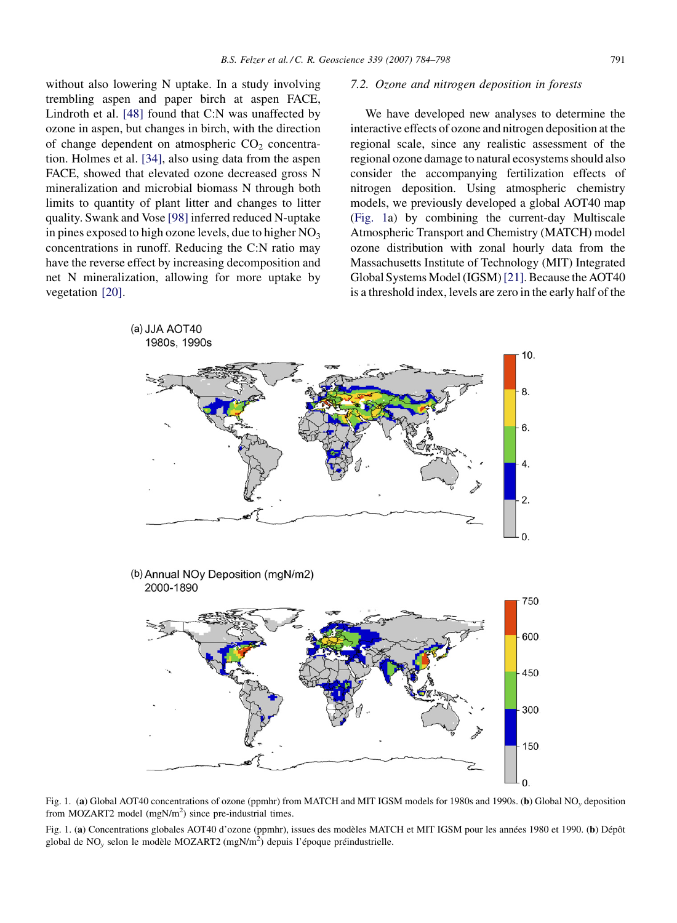<span id="page-7-0"></span>without also lowering N uptake. In a study involving trembling aspen and paper birch at aspen FACE, Lindroth et al. [\[48\]](#page-12-0) found that C:N was unaffected by ozone in aspen, but changes in birch, with the direction of change dependent on atmospheric  $CO<sub>2</sub>$  concentration. Holmes et al. [\[34\]](#page-12-0), also using data from the aspen FACE, showed that elevated ozone decreased gross N mineralization and microbial biomass N through both limits to quantity of plant litter and changes to litter quality. Swank and Vose [\[98\]](#page-14-0) inferred reduced N-uptake in pines exposed to high ozone levels, due to higher  $NO<sub>3</sub>$ concentrations in runoff. Reducing the C:N ratio may have the reverse effect by increasing decomposition and net N mineralization, allowing for more uptake by vegetation [\[20\]](#page-11-0).

## 7.2. Ozone and nitrogen deposition in forests

We have developed new analyses to determine the interactive effects of ozone and nitrogen deposition at the regional scale, since any realistic assessment of the regional ozone damage to natural ecosystems should also consider the accompanying fertilization effects of nitrogen deposition. Using atmospheric chemistry models, we previously developed a global AOT40 map (Fig. 1a) by combining the current-day Multiscale Atmospheric Transport and Chemistry (MATCH) model ozone distribution with zonal hourly data from the Massachusetts Institute of Technology (MIT) Integrated Global Systems Model (IGSM)[\[21\]](#page-11-0). Because the AOT40 is a threshold index, levels are zero in the early half of the



Fig. 1. (a) Global AOT40 concentrations of ozone (ppmhr) from MATCH and MIT IGSM models for 1980s and 1990s. (b) Global NO<sup>y</sup> deposition from MOZART2 model  $(mgN/m<sup>2</sup>)$  since pre-industrial times.

Fig. 1. (a) Concentrations globales AOT40 d'ozone (ppmhr), issues des modèles MATCH et MIT IGSM pour les années 1980 et 1990. (b) Dépôt global de NO<sub>y</sub> selon le modèle MOZART2 (mgN/m<sup>2</sup>) depuis l'époque préindustrielle.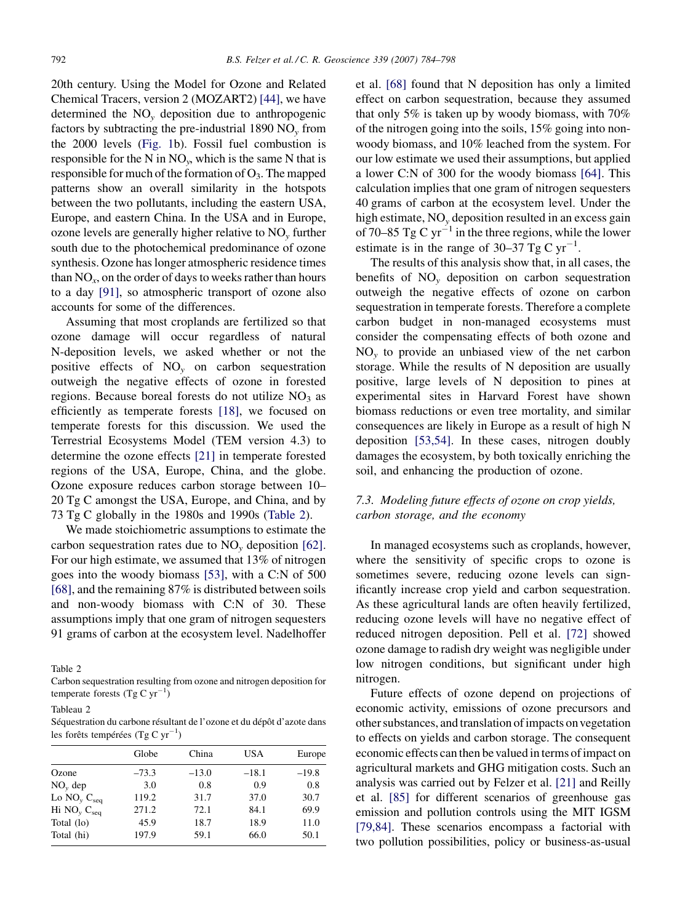20th century. Using the Model for Ozone and Related Chemical Tracers, version 2 (MOZART2) [\[44\]](#page-12-0), we have determined the  $NO<sub>v</sub>$  deposition due to anthropogenic factors by subtracting the pre-industrial  $1890$  NO<sub>v</sub> from the 2000 levels [\(Fig. 1b](#page-7-0)). Fossil fuel combustion is responsible for the N in  $NO<sub>v</sub>$ , which is the same N that is responsible for much of the formation of  $O_3$ . The mapped patterns show an overall similarity in the hotspots between the two pollutants, including the eastern USA, Europe, and eastern China. In the USA and in Europe, ozone levels are generally higher relative to  $NO<sub>v</sub>$  further south due to the photochemical predominance of ozone synthesis. Ozone has longer atmospheric residence times than  $NO<sub>x</sub>$ , on the order of days to weeks rather than hours to a day [\[91\],](#page-13-0) so atmospheric transport of ozone also accounts for some of the differences.

Assuming that most croplands are fertilized so that ozone damage will occur regardless of natural N-deposition levels, we asked whether or not the positive effects of  $NO<sub>v</sub>$  on carbon sequestration outweigh the negative effects of ozone in forested regions. Because boreal forests do not utilize  $NO<sub>3</sub>$  as efficiently as temperate forests [\[18\]](#page-11-0), we focused on temperate forests for this discussion. We used the Terrestrial Ecosystems Model (TEM version 4.3) to determine the ozone effects [\[21\]](#page-11-0) in temperate forested regions of the USA, Europe, China, and the globe. Ozone exposure reduces carbon storage between 10– 20 Tg C amongst the USA, Europe, and China, and by 73 Tg C globally in the 1980s and 1990s (Table 2).

We made stoichiometric assumptions to estimate the carbon sequestration rates due to  $NO<sub>v</sub>$  deposition [\[62\].](#page-13-0) For our high estimate, we assumed that 13% of nitrogen goes into the woody biomass [\[53\],](#page-12-0) with a C:N of 500 [\[68\],](#page-13-0) and the remaining 87% is distributed between soils and non-woody biomass with C:N of 30. These assumptions imply that one gram of nitrogen sequesters 91 grams of carbon at the ecosystem level. Nadelhoffer

Table 2

Carbon sequestration resulting from ozone and nitrogen deposition for temperate forests  $(Tg C yr^{-1})$ 

#### Tableau 2

Séquestration du carbone résultant de l'ozone et du dépôt d'azote dans les forêts tempérées (Tg C yr<sup>-1</sup>)

|                                     | Globe   | China   | <b>USA</b> | Europe  |
|-------------------------------------|---------|---------|------------|---------|
| Ozone                               | $-73.3$ | $-13.0$ | $-18.1$    | $-19.8$ |
| $NOv$ dep                           | 3.0     | 0.8     | 0.9        | 0.8     |
| Lo $NO_y$ , $C_{seq}$               | 119.2   | 31.7    | 37.0       | 30.7    |
| Hi NO <sub>v</sub> $C_{\text{sea}}$ | 271.2   | 72.1    | 84.1       | 69.9    |
| Total (lo)                          | 45.9    | 18.7    | 18.9       | 11.0    |
| Total (hi)                          | 197.9   | 59.1    | 66.0       | 50.1    |

et al. [\[68\]](#page-13-0) found that N deposition has only a limited effect on carbon sequestration, because they assumed that only 5% is taken up by woody biomass, with 70% of the nitrogen going into the soils, 15% going into nonwoody biomass, and 10% leached from the system. For our low estimate we used their assumptions, but applied a lower C:N of 300 for the woody biomass [\[64\].](#page-13-0) This calculation implies that one gram of nitrogen sequesters 40 grams of carbon at the ecosystem level. Under the high estimate,  $NO<sub>v</sub>$  deposition resulted in an excess gain of 70–85 Tg C  $yr^{-1}$  in the three regions, while the lower estimate is in the range of  $30-37$  Tg C yr<sup>-1</sup>.

The results of this analysis show that, in all cases, the benefits of  $NO<sub>y</sub>$  deposition on carbon sequestration outweigh the negative effects of ozone on carbon sequestration in temperate forests. Therefore a complete carbon budget in non-managed ecosystems must consider the compensating effects of both ozone and  $NO<sub>v</sub>$  to provide an unbiased view of the net carbon storage. While the results of N deposition are usually positive, large levels of N deposition to pines at experimental sites in Harvard Forest have shown biomass reductions or even tree mortality, and similar consequences are likely in Europe as a result of high N deposition [\[53,54\].](#page-12-0) In these cases, nitrogen doubly damages the ecosystem, by both toxically enriching the soil, and enhancing the production of ozone.

# 7.3. Modeling future effects of ozone on crop yields, carbon storage, and the economy

In managed ecosystems such as croplands, however, where the sensitivity of specific crops to ozone is sometimes severe, reducing ozone levels can significantly increase crop yield and carbon sequestration. As these agricultural lands are often heavily fertilized, reducing ozone levels will have no negative effect of reduced nitrogen deposition. Pell et al. [\[72\]](#page-13-0) showed ozone damage to radish dry weight was negligible under low nitrogen conditions, but significant under high nitrogen.

Future effects of ozone depend on projections of economic activity, emissions of ozone precursors and other substances, and translation of impacts onvegetation to effects on yields and carbon storage. The consequent economic effects can then be valued in terms of impact on agricultural markets and GHG mitigation costs. Such an analysis was carried out by Felzer et al. [\[21\]](#page-11-0) and Reilly et al. [\[85\]](#page-13-0) for different scenarios of greenhouse gas emission and pollution controls using the MIT IGSM [\[79,84\].](#page-13-0) These scenarios encompass a factorial with two pollution possibilities, policy or business-as-usual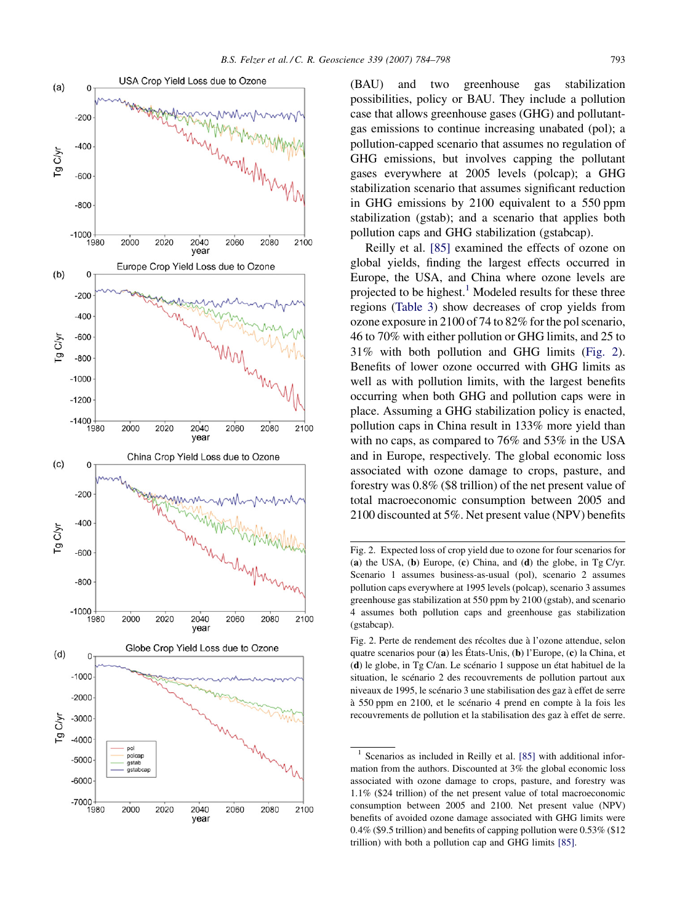

(BAU) and two greenhouse gas stabilization possibilities, policy or BAU. They include a pollution case that allows greenhouse gases (GHG) and pollutantgas emissions to continue increasing unabated (pol); a pollution-capped scenario that assumes no regulation of GHG emissions, but involves capping the pollutant gases everywhere at 2005 levels (polcap); a GHG stabilization scenario that assumes significant reduction in GHG emissions by 2100 equivalent to a 550 ppm stabilization (gstab); and a scenario that applies both pollution caps and GHG stabilization (gstabcap).

Reilly et al. [\[85\]](#page-13-0) examined the effects of ozone on global yields, finding the largest effects occurred in Europe, the USA, and China where ozone levels are projected to be highest.<sup>1</sup> Modeled results for these three regions [\(Table 3\)](#page-10-0) show decreases of crop yields from ozone exposure in 2100 of 74 to 82% for the pol scenario, 46 to 70% with either pollution or GHG limits, and 25 to 31% with both pollution and GHG limits (Fig. 2). Benefits of lower ozone occurred with GHG limits as well as with pollution limits, with the largest benefits occurring when both GHG and pollution caps were in place. Assuming a GHG stabilization policy is enacted, pollution caps in China result in 133% more yield than with no caps, as compared to 76% and 53% in the USA and in Europe, respectively. The global economic loss associated with ozone damage to crops, pasture, and forestry was 0.8% (\$8 trillion) of the net present value of total macroeconomic consumption between 2005 and 2100 discounted at 5%. Net present value (NPV) benefits

Fig. 2. Perte de rendement des récoltes due à l'ozone attendue, selon quatre scenarios pour (a) les États-Unis, (b) l'Europe, (c) la China, et (d) le globe, in Tg C/an. Le scénario 1 suppose un état habituel de la situation, le scénario 2 des recouvrements de pollution partout aux niveaux de 1995, le scénario 3 une stabilisation des gaz à effet de serre à 550 ppm en 2100, et le scénario 4 prend en compte à la fois les recouvrements de pollution et la stabilisation des gaz à effet de serre.

Fig. 2. Expected loss of crop yield due to ozone for four scenarios for (a) the USA, (b) Europe, (c) China, and (d) the globe, in Tg C/yr. Scenario 1 assumes business-as-usual (pol), scenario 2 assumes pollution caps everywhere at 1995 levels (polcap), scenario 3 assumes greenhouse gas stabilization at 550 ppm by 2100 (gstab), and scenario 4 assumes both pollution caps and greenhouse gas stabilization (gstabcap).

 $1$  Scenarios as included in Reilly et al. [\[85\]](#page-13-0) with additional information from the authors. Discounted at 3% the global economic loss associated with ozone damage to crops, pasture, and forestry was 1.1% (\$24 trillion) of the net present value of total macroeconomic consumption between 2005 and 2100. Net present value (NPV) benefits of avoided ozone damage associated with GHG limits were 0.4% (\$9.5 trillion) and benefits of capping pollution were 0.53% (\$12 trillion) with both a pollution cap and GHG limits [\[85\]](#page-13-0).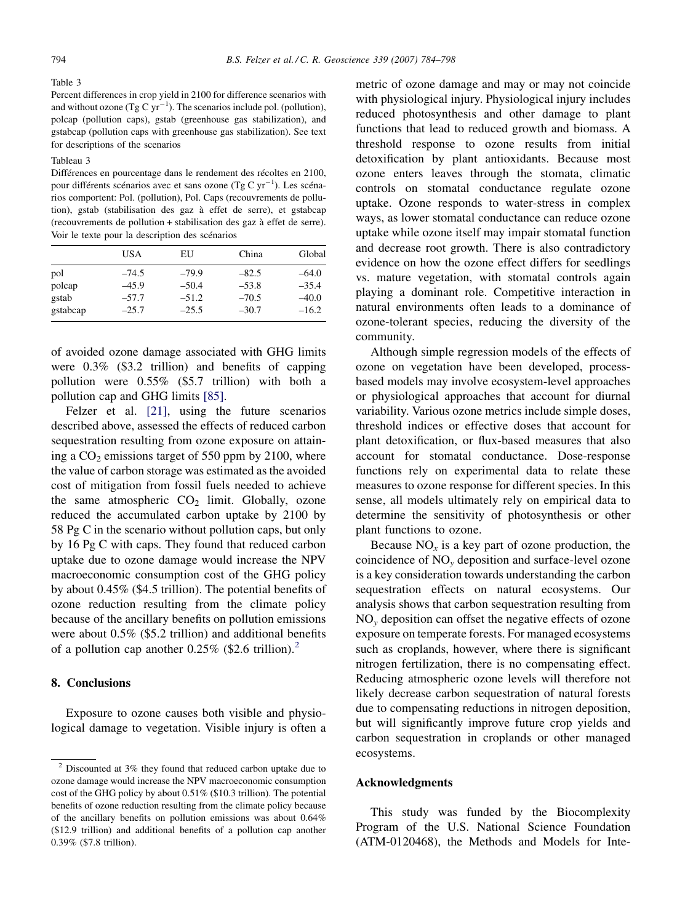#### <span id="page-10-0"></span>Table 3

Percent differences in crop yield in 2100 for difference scenarios with and without ozone (Tg C  $yr^{-1}$ ). The scenarios include pol. (pollution), polcap (pollution caps), gstab (greenhouse gas stabilization), and gstabcap (pollution caps with greenhouse gas stabilization). See text for descriptions of the scenarios

#### Tableau 3

Différences en pourcentage dans le rendement des récoltes en 2100, pour différents scénarios avec et sans ozone  $(Tg C yr^{-1})$ . Les scénarios comportent: Pol. (pollution), Pol. Caps (recouvrements de pollution), gstab (stabilisation des gaz à effet de serre), et gstabcap (recouvrements de pollution + stabilisation des gaz à effet de serre). Voir le texte pour la description des scénarios

|          | USA     | EU      | China   | Global  |
|----------|---------|---------|---------|---------|
| pol      | $-74.5$ | $-79.9$ | $-82.5$ | $-64.0$ |
| polcap   | $-45.9$ | $-50.4$ | $-53.8$ | $-35.4$ |
| gstab    | $-57.7$ | $-51.2$ | $-70.5$ | $-40.0$ |
| gstabcap | $-25.7$ | $-25.5$ | $-30.7$ | $-16.2$ |

of avoided ozone damage associated with GHG limits were 0.3% (\$3.2 trillion) and benefits of capping pollution were 0.55% (\$5.7 trillion) with both a pollution cap and GHG limits [\[85\].](#page-13-0)

Felzer et al. [\[21\],](#page-11-0) using the future scenarios described above, assessed the effects of reduced carbon sequestration resulting from ozone exposure on attaining a  $CO<sub>2</sub>$  emissions target of 550 ppm by 2100, where the value of carbon storage was estimated as the avoided cost of mitigation from fossil fuels needed to achieve the same atmospheric  $CO<sub>2</sub>$  limit. Globally, ozone reduced the accumulated carbon uptake by 2100 by 58 Pg C in the scenario without pollution caps, but only by 16 Pg C with caps. They found that reduced carbon uptake due to ozone damage would increase the NPV macroeconomic consumption cost of the GHG policy by about 0.45% (\$4.5 trillion). The potential benefits of ozone reduction resulting from the climate policy because of the ancillary benefits on pollution emissions were about 0.5% (\$5.2 trillion) and additional benefits of a pollution cap another  $0.25\%$  (\$2.6 trillion).<sup>2</sup>

# 8. Conclusions

Exposure to ozone causes both visible and physiological damage to vegetation. Visible injury is often a

metric of ozone damage and may or may not coincide with physiological injury. Physiological injury includes reduced photosynthesis and other damage to plant functions that lead to reduced growth and biomass. A threshold response to ozone results from initial detoxification by plant antioxidants. Because most ozone enters leaves through the stomata, climatic controls on stomatal conductance regulate ozone uptake. Ozone responds to water-stress in complex ways, as lower stomatal conductance can reduce ozone uptake while ozone itself may impair stomatal function and decrease root growth. There is also contradictory evidence on how the ozone effect differs for seedlings vs. mature vegetation, with stomatal controls again playing a dominant role. Competitive interaction in natural environments often leads to a dominance of ozone-tolerant species, reducing the diversity of the community.

Although simple regression models of the effects of ozone on vegetation have been developed, processbased models may involve ecosystem-level approaches or physiological approaches that account for diurnal variability. Various ozone metrics include simple doses, threshold indices or effective doses that account for plant detoxification, or flux-based measures that also account for stomatal conductance. Dose-response functions rely on experimental data to relate these measures to ozone response for different species. In this sense, all models ultimately rely on empirical data to determine the sensitivity of photosynthesis or other plant functions to ozone.

Because  $NO<sub>x</sub>$  is a key part of ozone production, the coincidence of  $NO<sub>y</sub>$  deposition and surface-level ozone is a key consideration towards understanding the carbon sequestration effects on natural ecosystems. Our analysis shows that carbon sequestration resulting from  $NO<sub>v</sub>$  deposition can offset the negative effects of ozone exposure on temperate forests. For managed ecosystems such as croplands, however, where there is significant nitrogen fertilization, there is no compensating effect. Reducing atmospheric ozone levels will therefore not likely decrease carbon sequestration of natural forests due to compensating reductions in nitrogen deposition, but will significantly improve future crop yields and carbon sequestration in croplands or other managed ecosystems.

# Acknowledgments

This study was funded by the Biocomplexity Program of the U.S. National Science Foundation (ATM-0120468), the Methods and Models for Inte-

<sup>2</sup> Discounted at 3% they found that reduced carbon uptake due to ozone damage would increase the NPV macroeconomic consumption cost of the GHG policy by about 0.51% (\$10.3 trillion). The potential benefits of ozone reduction resulting from the climate policy because of the ancillary benefits on pollution emissions was about 0.64% (\$12.9 trillion) and additional benefits of a pollution cap another 0.39% (\$7.8 trillion).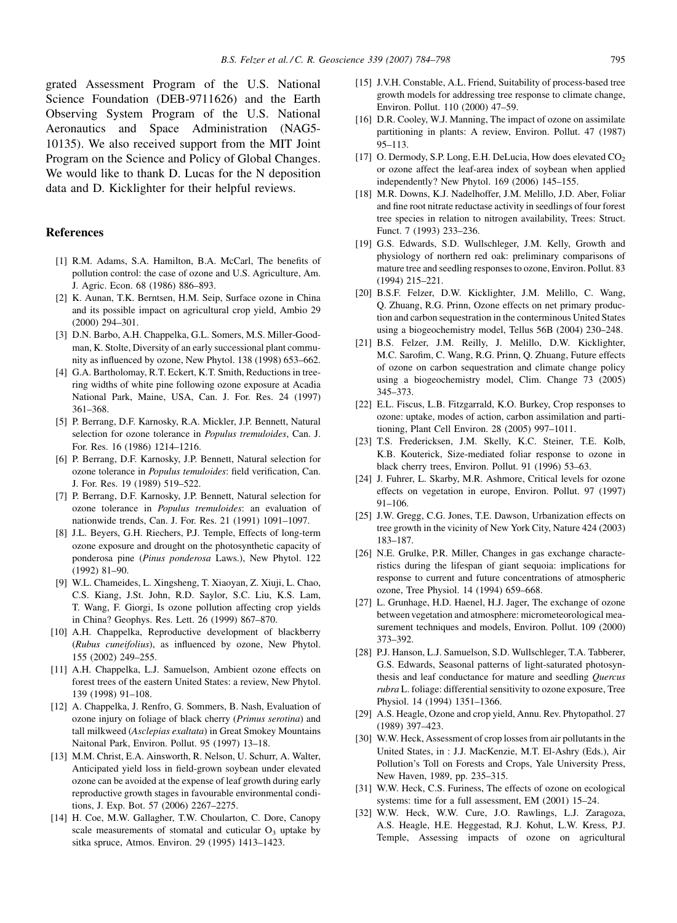<span id="page-11-0"></span>grated Assessment Program of the U.S. National Science Foundation (DEB-9711626) and the Earth Observing System Program of the U.S. National Aeronautics and Space Administration (NAG5- 10135). We also received support from the MIT Joint Program on the Science and Policy of Global Changes. We would like to thank D. Lucas for the N deposition data and D. Kicklighter for their helpful reviews.

#### References

- [1] R.M. Adams, S.A. Hamilton, B.A. McCarl, The benefits of pollution control: the case of ozone and U.S. Agriculture, Am. J. Agric. Econ. 68 (1986) 886–893.
- [2] K. Aunan, T.K. Berntsen, H.M. Seip, Surface ozone in China and its possible impact on agricultural crop yield, Ambio 29 (2000) 294–301.
- [3] D.N. Barbo, A.H. Chappelka, G.L. Somers, M.S. Miller-Goodman, K. Stolte, Diversity of an early successional plant community as influenced by ozone, New Phytol. 138 (1998) 653–662.
- [4] G.A. Bartholomay, R.T. Eckert, K.T. Smith, Reductions in treering widths of white pine following ozone exposure at Acadia National Park, Maine, USA, Can. J. For. Res. 24 (1997) 361–368.
- [5] P. Berrang, D.F. Karnosky, R.A. Mickler, J.P. Bennett, Natural selection for ozone tolerance in Populus tremuloides, Can. J. For. Res. 16 (1986) 1214–1216.
- [6] P. Berrang, D.F. Karnosky, J.P. Bennett, Natural selection for ozone tolerance in Populus temuloides: field verification, Can. J. For. Res. 19 (1989) 519–522.
- [7] P. Berrang, D.F. Karnosky, J.P. Bennett, Natural selection for ozone tolerance in Populus tremuloides: an evaluation of nationwide trends, Can. J. For. Res. 21 (1991) 1091–1097.
- [8] J.L. Beyers, G.H. Riechers, P.J. Temple, Effects of long-term ozone exposure and drought on the photosynthetic capacity of ponderosa pine (Pinus ponderosa Laws.), New Phytol. 122 (1992) 81–90.
- [9] W.L. Chameides, L. Xingsheng, T. Xiaoyan, Z. Xiuji, L. Chao, C.S. Kiang, J.St. John, R.D. Saylor, S.C. Liu, K.S. Lam, T. Wang, F. Giorgi, Is ozone pollution affecting crop yields in China? Geophys. Res. Lett. 26 (1999) 867–870.
- [10] A.H. Chappelka, Reproductive development of blackberry (Rubus cuneifolius), as influenced by ozone, New Phytol. 155 (2002) 249–255.
- [11] A.H. Chappelka, L.J. Samuelson, Ambient ozone effects on forest trees of the eastern United States: a review, New Phytol. 139 (1998) 91–108.
- [12] A. Chappelka, J. Renfro, G. Sommers, B. Nash, Evaluation of ozone injury on foliage of black cherry (Primus serotina) and tall milkweed (Asclepias exaltata) in Great Smokey Mountains Naitonal Park, Environ. Pollut. 95 (1997) 13–18.
- [13] M.M. Christ, E.A. Ainsworth, R. Nelson, U. Schurr, A. Walter, Anticipated yield loss in field-grown soybean under elevated ozone can be avoided at the expense of leaf growth during early reproductive growth stages in favourable environmental conditions, J. Exp. Bot. 57 (2006) 2267–2275.
- [14] H. Coe, M.W. Gallagher, T.W. Choularton, C. Dore, Canopy scale measurements of stomatal and cuticular  $O_3$  uptake by sitka spruce, Atmos. Environ. 29 (1995) 1413–1423.
- [15] J.V.H. Constable, A.L. Friend, Suitability of process-based tree growth models for addressing tree response to climate change, Environ. Pollut. 110 (2000) 47–59.
- [16] D.R. Cooley, W.J. Manning, The impact of ozone on assimilate partitioning in plants: A review, Environ. Pollut. 47 (1987) 95–113.
- [17] O. Dermody, S.P. Long, E.H. DeLucia, How does elevated  $CO<sub>2</sub>$ or ozone affect the leaf-area index of soybean when applied independently? New Phytol. 169 (2006) 145–155.
- [18] M.R. Downs, K.J. Nadelhoffer, J.M. Melillo, J.D. Aber, Foliar and fine root nitrate reductase activity in seedlings of four forest tree species in relation to nitrogen availability, Trees: Struct. Funct. 7 (1993) 233–236.
- [19] G.S. Edwards, S.D. Wullschleger, J.M. Kelly, Growth and physiology of northern red oak: preliminary comparisons of mature tree and seedling responses to ozone, Environ. Pollut. 83 (1994) 215–221.
- [20] B.S.F. Felzer, D.W. Kicklighter, J.M. Melillo, C. Wang, Q. Zhuang, R.G. Prinn, Ozone effects on net primary production and carbon sequestration in the conterminous United States using a biogeochemistry model, Tellus 56B (2004) 230–248.
- [21] B.S. Felzer, J.M. Reilly, J. Melillo, D.W. Kicklighter, M.C. Sarofim, C. Wang, R.G. Prinn, Q. Zhuang, Future effects of ozone on carbon sequestration and climate change policy using a biogeochemistry model, Clim. Change 73 (2005) 345–373.
- [22] E.L. Fiscus, L.B. Fitzgarrald, K.O. Burkey, Crop responses to ozone: uptake, modes of action, carbon assimilation and partitioning, Plant Cell Environ. 28 (2005) 997–1011.
- [23] T.S. Fredericksen, J.M. Skelly, K.C. Steiner, T.E. Kolb, K.B. Kouterick, Size-mediated foliar response to ozone in black cherry trees, Environ. Pollut. 91 (1996) 53–63.
- [24] J. Fuhrer, L. Skarby, M.R. Ashmore, Critical levels for ozone effects on vegetation in europe, Environ. Pollut. 97 (1997) 91–106.
- [25] J.W. Gregg, C.G. Jones, T.E. Dawson, Urbanization effects on tree growth in the vicinity of New York City, Nature 424 (2003) 183–187.
- [26] N.E. Grulke, P.R. Miller, Changes in gas exchange characteristics during the lifespan of giant sequoia: implications for response to current and future concentrations of atmospheric ozone, Tree Physiol. 14 (1994) 659–668.
- [27] L. Grunhage, H.D. Haenel, H.J. Jager, The exchange of ozone between vegetation and atmosphere: micrometeorological measurement techniques and models, Environ. Pollut. 109 (2000) 373–392.
- [28] P.J. Hanson, L.J. Samuelson, S.D. Wullschleger, T.A. Tabberer, G.S. Edwards, Seasonal patterns of light-saturated photosynthesis and leaf conductance for mature and seedling Quercus rubra L. foliage: differential sensitivity to ozone exposure, Tree Physiol. 14 (1994) 1351–1366.
- [29] A.S. Heagle, Ozone and crop yield, Annu. Rev. Phytopathol. 27 (1989) 397–423.
- [30] W.W. Heck, Assessment of crop losses from air pollutants in the United States, in : J.J. MacKenzie, M.T. El-Ashry (Eds.), Air Pollution's Toll on Forests and Crops, Yale University Press, New Haven, 1989, pp. 235–315.
- [31] W.W. Heck, C.S. Furiness, The effects of ozone on ecological systems: time for a full assessment, EM (2001) 15–24.
- [32] W.W. Heck, W.W. Cure, J.O. Rawlings, L.J. Zaragoza, A.S. Heagle, H.E. Heggestad, R.J. Kohut, L.W. Kress, P.J. Temple, Assessing impacts of ozone on agricultural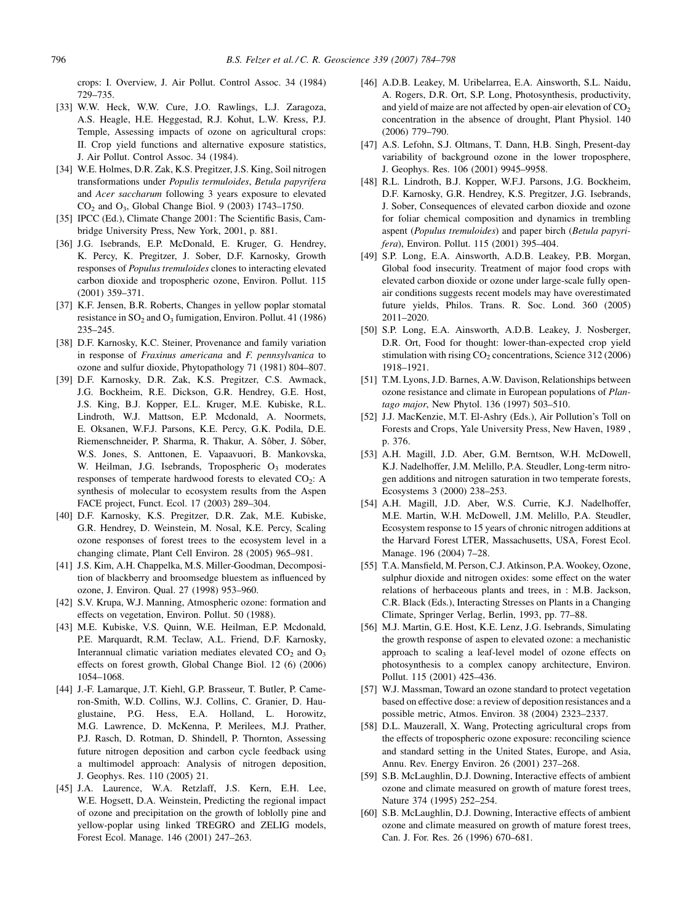<span id="page-12-0"></span>crops: I. Overview, J. Air Pollut. Control Assoc. 34 (1984) 729–735.

- [33] W.W. Heck, W.W. Cure, J.O. Rawlings, L.J. Zaragoza, A.S. Heagle, H.E. Heggestad, R.J. Kohut, L.W. Kress, P.J. Temple, Assessing impacts of ozone on agricultural crops: II. Crop yield functions and alternative exposure statistics, J. Air Pollut. Control Assoc. 34 (1984).
- [34] W.E. Holmes, D.R. Zak, K.S. Pregitzer, J.S. King, Soil nitrogen transformations under Populis termuloides, Betula papyrifera and Acer saccharum following 3 years exposure to elevated  $CO<sub>2</sub>$  and  $O<sub>3</sub>$ , Global Change Biol. 9 (2003) 1743–1750.
- [35] IPCC (Ed.), Climate Change 2001: The Scientific Basis, Cambridge University Press, New York, 2001, p. 881.
- [36] J.G. Isebrands, E.P. McDonald, E. Kruger, G. Hendrey, K. Percy, K. Pregitzer, J. Sober, D.F. Karnosky, Growth responses of Populus tremuloides clones to interacting elevated carbon dioxide and tropospheric ozone, Environ. Pollut. 115 (2001) 359–371.
- [37] K.F. Jensen, B.R. Roberts, Changes in yellow poplar stomatal resistance in  $SO_2$  and  $O_3$  fumigation, Environ. Pollut. 41 (1986) 235–245.
- [38] D.F. Karnosky, K.C. Steiner, Provenance and family variation in response of Fraxinus americana and F. pennsylvanica to ozone and sulfur dioxide, Phytopathology 71 (1981) 804–807.
- [39] D.F. Karnosky, D.R. Zak, K.S. Pregitzer, C.S. Awmack, J.G. Bockheim, R.E. Dickson, G.R. Hendrey, G.E. Host, J.S. King, B.J. Kopper, E.L. Kruger, M.E. Kubiske, R.L. Lindroth, W.J. Mattson, E.P. Mcdonald, A. Noormets, E. Oksanen, W.F.J. Parsons, K.E. Percy, G.K. Podila, D.E. Riemenschneider, P. Sharma, R. Thakur, A. Sôber, J. Sôber, W.S. Jones, S. Anttonen, E. Vapaavuori, B. Mankovska, W. Heilman, J.G. Isebrands, Tropospheric  $O_3$  moderates responses of temperate hardwood forests to elevated CO2: A synthesis of molecular to ecosystem results from the Aspen FACE project, Funct. Ecol. 17 (2003) 289–304.
- [40] D.F. Karnosky, K.S. Pregitzer, D.R. Zak, M.E. Kubiske, G.R. Hendrey, D. Weinstein, M. Nosal, K.E. Percy, Scaling ozone responses of forest trees to the ecosystem level in a changing climate, Plant Cell Environ. 28 (2005) 965–981.
- [41] J.S. Kim, A.H. Chappelka, M.S. Miller-Goodman, Decomposition of blackberry and broomsedge bluestem as influenced by ozone, J. Environ. Qual. 27 (1998) 953–960.
- [42] S.V. Krupa, W.J. Manning, Atmospheric ozone: formation and effects on vegetation, Environ. Pollut. 50 (1988).
- [43] M.E. Kubiske, V.S. Quinn, W.E. Heilman, E.P. Mcdonald, P.E. Marquardt, R.M. Teclaw, A.L. Friend, D.F. Karnosky, Interannual climatic variation mediates elevated  $CO<sub>2</sub>$  and  $O<sub>3</sub>$ effects on forest growth, Global Change Biol. 12 (6) (2006) 1054–1068.
- [44] J.-F. Lamarque, J.T. Kiehl, G.P. Brasseur, T. Butler, P. Cameron-Smith, W.D. Collins, W.J. Collins, C. Granier, D. Hauglustaine, P.G. Hess, E.A. Holland, L. Horowitz, M.G. Lawrence, D. McKenna, P. Merilees, M.J. Prather, P.J. Rasch, D. Rotman, D. Shindell, P. Thornton, Assessing future nitrogen deposition and carbon cycle feedback using a multimodel approach: Analysis of nitrogen deposition, J. Geophys. Res. 110 (2005) 21.
- [45] J.A. Laurence, W.A. Retzlaff, J.S. Kern, E.H. Lee, W.E. Hogsett, D.A. Weinstein, Predicting the regional impact of ozone and precipitation on the growth of loblolly pine and yellow-poplar using linked TREGRO and ZELIG models, Forest Ecol. Manage. 146 (2001) 247–263.
- [46] A.D.B. Leakey, M. Uribelarrea, E.A. Ainsworth, S.L. Naidu, A. Rogers, D.R. Ort, S.P. Long, Photosynthesis, productivity, and yield of maize are not affected by open-air elevation of  $CO<sub>2</sub>$ concentration in the absence of drought, Plant Physiol. 140 (2006) 779–790.
- [47] A.S. Lefohn, S.J. Oltmans, T. Dann, H.B. Singh, Present-day variability of background ozone in the lower troposphere, J. Geophys. Res. 106 (2001) 9945–9958.
- [48] R.L. Lindroth, B.J. Kopper, W.F.J. Parsons, J.G. Bockheim, D.F. Karnosky, G.R. Hendrey, K.S. Pregitzer, J.G. Isebrands, J. Sober, Consequences of elevated carbon dioxide and ozone for foliar chemical composition and dynamics in trembling aspent (Populus tremuloides) and paper birch (Betula papyrifera), Environ. Pollut. 115 (2001) 395–404.
- [49] S.P. Long, E.A. Ainsworth, A.D.B. Leakey, P.B. Morgan, Global food insecurity. Treatment of major food crops with elevated carbon dioxide or ozone under large-scale fully openair conditions suggests recent models may have overestimated future yields, Philos. Trans. R. Soc. Lond. 360 (2005) 2011–2020.
- [50] S.P. Long, E.A. Ainsworth, A.D.B. Leakey, J. Nosberger, D.R. Ort, Food for thought: lower-than-expected crop yield stimulation with rising  $CO_2$  concentrations, Science 312 (2006) 1918–1921.
- [51] T.M. Lyons, J.D. Barnes, A.W. Davison, Relationships between ozone resistance and climate in European populations of Plantago major, New Phytol. 136 (1997) 503–510.
- [52] J.J. MacKenzie, M.T. El-Ashry (Eds.), Air Pollution's Toll on Forests and Crops, Yale University Press, New Haven, 1989 , p. 376.
- [53] A.H. Magill, J.D. Aber, G.M. Berntson, W.H. McDowell, K.J. Nadelhoffer, J.M. Melillo, P.A. Steudler, Long-term nitrogen additions and nitrogen saturation in two temperate forests, Ecosystems 3 (2000) 238–253.
- [54] A.H. Magill, J.D. Aber, W.S. Currie, K.J. Nadelhoffer, M.E. Martin, W.H. McDowell, J.M. Melillo, P.A. Steudler, Ecosystem response to 15 years of chronic nitrogen additions at the Harvard Forest LTER, Massachusetts, USA, Forest Ecol. Manage. 196 (2004) 7–28.
- [55] T.A. Mansfield, M. Person, C.J. Atkinson, P.A. Wookey, Ozone, sulphur dioxide and nitrogen oxides: some effect on the water relations of herbaceous plants and trees, in : M.B. Jackson, C.R. Black (Eds.), Interacting Stresses on Plants in a Changing Climate, Springer Verlag, Berlin, 1993, pp. 77–88.
- [56] M.J. Martin, G.E. Host, K.E. Lenz, J.G. Isebrands, Simulating the growth response of aspen to elevated ozone: a mechanistic approach to scaling a leaf-level model of ozone effects on photosynthesis to a complex canopy architecture, Environ. Pollut. 115 (2001) 425–436.
- [57] W.J. Massman, Toward an ozone standard to protect vegetation based on effective dose: a review of deposition resistances and a possible metric, Atmos. Environ. 38 (2004) 2323–2337.
- [58] D.L. Mauzerall, X. Wang, Protecting agricultural crops from the effects of tropospheric ozone exposure: reconciling science and standard setting in the United States, Europe, and Asia, Annu. Rev. Energy Environ. 26 (2001) 237–268.
- [59] S.B. McLaughlin, D.J. Downing, Interactive effects of ambient ozone and climate measured on growth of mature forest trees, Nature 374 (1995) 252–254.
- [60] S.B. McLaughlin, D.J. Downing, Interactive effects of ambient ozone and climate measured on growth of mature forest trees, Can. J. For. Res. 26 (1996) 670–681.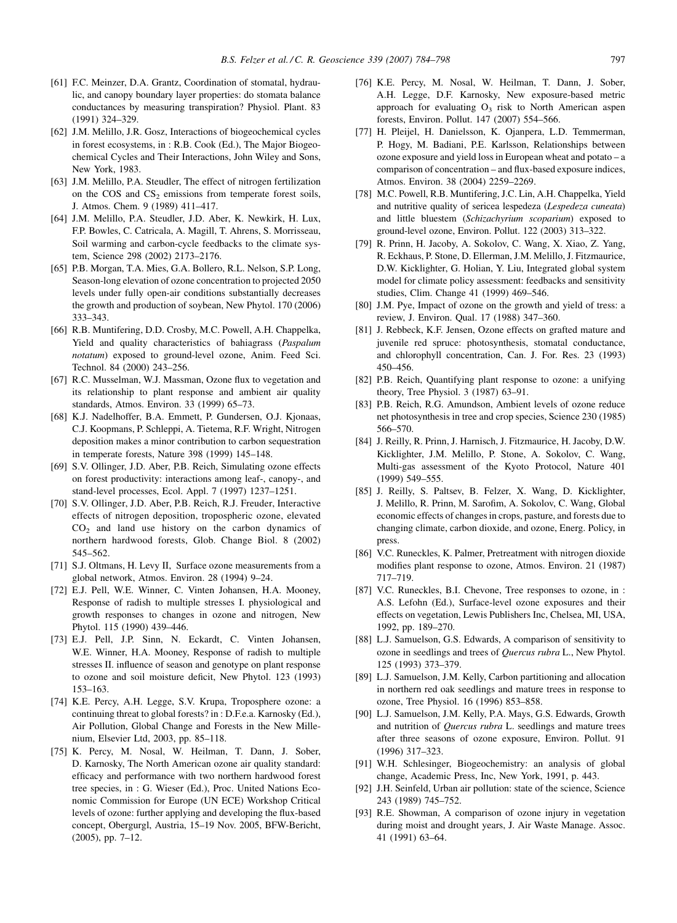- <span id="page-13-0"></span>[61] F.C. Meinzer, D.A. Grantz, Coordination of stomatal, hydraulic, and canopy boundary layer properties: do stomata balance conductances by measuring transpiration? Physiol. Plant. 83 (1991) 324–329.
- [62] J.M. Melillo, J.R. Gosz, Interactions of biogeochemical cycles in forest ecosystems, in : R.B. Cook (Ed.), The Major Biogeochemical Cycles and Their Interactions, John Wiley and Sons, New York, 1983.
- [63] J.M. Melillo, P.A. Steudler. The effect of nitrogen fertilization on the COS and  $CS_2$  emissions from temperate forest soils, J. Atmos. Chem. 9 (1989) 411–417.
- [64] J.M. Melillo, P.A. Steudler, J.D. Aber, K. Newkirk, H. Lux, F.P. Bowles, C. Catricala, A. Magill, T. Ahrens, S. Morrisseau, Soil warming and carbon-cycle feedbacks to the climate system, Science 298 (2002) 2173–2176.
- [65] P.B. Morgan, T.A. Mies, G.A. Bollero, R.L. Nelson, S.P. Long, Season-long elevation of ozone concentration to projected 2050 levels under fully open-air conditions substantially decreases the growth and production of soybean, New Phytol. 170 (2006) 333–343.
- [66] R.B. Muntifering, D.D. Crosby, M.C. Powell, A.H. Chappelka, Yield and quality characteristics of bahiagrass (Paspalum notatum) exposed to ground-level ozone, Anim. Feed Sci. Technol. 84 (2000) 243–256.
- [67] R.C. Musselman, W.J. Massman, Ozone flux to vegetation and its relationship to plant response and ambient air quality standards, Atmos. Environ. 33 (1999) 65–73.
- [68] K.J. Nadelhoffer, B.A. Emmett, P. Gundersen, O.J. Kjonaas, C.J. Koopmans, P. Schleppi, A. Tietema, R.F. Wright, Nitrogen deposition makes a minor contribution to carbon sequestration in temperate forests, Nature 398 (1999) 145–148.
- [69] S.V. Ollinger, J.D. Aber, P.B. Reich, Simulating ozone effects on forest productivity: interactions among leaf-, canopy-, and stand-level processes, Ecol. Appl. 7 (1997) 1237–1251.
- [70] S.V. Ollinger, J.D. Aber, P.B. Reich, R.J. Freuder, Interactive effects of nitrogen deposition, tropospheric ozone, elevated CO2 and land use history on the carbon dynamics of northern hardwood forests, Glob. Change Biol. 8 (2002) 545–562.
- [71] S.J. Oltmans, H. Levy II, Surface ozone measurements from a global network, Atmos. Environ. 28 (1994) 9–24.
- [72] E.J. Pell, W.E. Winner, C. Vinten Johansen, H.A. Mooney, Response of radish to multiple stresses I. physiological and growth responses to changes in ozone and nitrogen, New Phytol. 115 (1990) 439–446.
- [73] E.J. Pell, J.P. Sinn, N. Eckardt, C. Vinten Johansen, W.E. Winner, H.A. Mooney, Response of radish to multiple stresses II. influence of season and genotype on plant response to ozone and soil moisture deficit, New Phytol. 123 (1993) 153–163.
- [74] K.E. Percy, A.H. Legge, S.V. Krupa, Troposphere ozone: a continuing threat to global forests? in : D.F.e.a. Karnosky (Ed.), Air Pollution, Global Change and Forests in the New Millenium, Elsevier Ltd, 2003, pp. 85–118.
- [75] K. Percy, M. Nosal, W. Heilman, T. Dann, J. Sober, D. Karnosky, The North American ozone air quality standard: efficacy and performance with two northern hardwood forest tree species, in : G. Wieser (Ed.), Proc. United Nations Economic Commission for Europe (UN ECE) Workshop Critical levels of ozone: further applying and developing the flux-based concept, Obergurgl, Austria, 15–19 Nov. 2005, BFW-Bericht, (2005), pp. 7–12.
- [76] K.E. Percy, M. Nosal, W. Heilman, T. Dann, J. Sober, A.H. Legge, D.F. Karnosky, New exposure-based metric approach for evaluating  $O_3$  risk to North American aspen forests, Environ. Pollut. 147 (2007) 554–566.
- [77] H. Pleijel, H. Danielsson, K. Ojanpera, L.D. Temmerman, P. Hogy, M. Badiani, P.E. Karlsson, Relationships between ozone exposure and yield loss in European wheat and potato – a comparison of concentration – and flux-based exposure indices, Atmos. Environ. 38 (2004) 2259–2269.
- [78] M.C. Powell, R.B. Muntifering, J.C. Lin, A.H. Chappelka, Yield and nutritive quality of sericea lespedeza (Lespedeza cuneata) and little bluestem (Schizachyrium scoparium) exposed to ground-level ozone, Environ. Pollut. 122 (2003) 313–322.
- [79] R. Prinn, H. Jacoby, A. Sokolov, C. Wang, X. Xiao, Z. Yang, R. Eckhaus, P. Stone, D. Ellerman, J.M. Melillo, J. Fitzmaurice, D.W. Kicklighter, G. Holian, Y. Liu, Integrated global system model for climate policy assessment: feedbacks and sensitivity studies, Clim. Change 41 (1999) 469–546.
- [80] J.M. Pye, Impact of ozone on the growth and yield of tress: a review, J. Environ. Qual. 17 (1988) 347–360.
- [81] J. Rebbeck, K.F. Jensen, Ozone effects on grafted mature and juvenile red spruce: photosynthesis, stomatal conductance, and chlorophyll concentration, Can. J. For. Res. 23 (1993) 450–456.
- [82] P.B. Reich, Quantifying plant response to ozone: a unifying theory, Tree Physiol. 3 (1987) 63–91.
- [83] P.B. Reich, R.G. Amundson, Ambient levels of ozone reduce net photosynthesis in tree and crop species, Science 230 (1985) 566–570.
- [84] J. Reilly, R. Prinn, J. Harnisch, J. Fitzmaurice, H. Jacoby, D.W. Kicklighter, J.M. Melillo, P. Stone, A. Sokolov, C. Wang, Multi-gas assessment of the Kyoto Protocol, Nature 401 (1999) 549–555.
- [85] J. Reilly, S. Paltsev, B. Felzer, X. Wang, D. Kicklighter, J. Melillo, R. Prinn, M. Sarofim, A. Sokolov, C. Wang, Global economic effects of changes in crops, pasture, and forests due to changing climate, carbon dioxide, and ozone, Energ. Policy, in press.
- [86] V.C. Runeckles, K. Palmer, Pretreatment with nitrogen dioxide modifies plant response to ozone, Atmos. Environ. 21 (1987) 717–719.
- [87] V.C. Runeckles, B.I. Chevone, Tree responses to ozone, in : A.S. Lefohn (Ed.), Surface-level ozone exposures and their effects on vegetation, Lewis Publishers Inc, Chelsea, MI, USA, 1992, pp. 189–270.
- [88] L.J. Samuelson, G.S. Edwards, A comparison of sensitivity to ozone in seedlings and trees of Quercus rubra L., New Phytol. 125 (1993) 373–379.
- [89] L.J. Samuelson, J.M. Kelly, Carbon partitioning and allocation in northern red oak seedlings and mature trees in response to ozone, Tree Physiol. 16 (1996) 853–858.
- [90] L.J. Samuelson, J.M. Kelly, P.A. Mays, G.S. Edwards, Growth and nutrition of Quercus rubra L. seedlings and mature trees after three seasons of ozone exposure, Environ. Pollut. 91 (1996) 317–323.
- [91] W.H. Schlesinger, Biogeochemistry: an analysis of global change, Academic Press, Inc, New York, 1991, p. 443.
- [92] J.H. Seinfeld, Urban air pollution: state of the science, Science 243 (1989) 745–752.
- [93] R.E. Showman, A comparison of ozone injury in vegetation during moist and drought years, J. Air Waste Manage. Assoc. 41 (1991) 63–64.